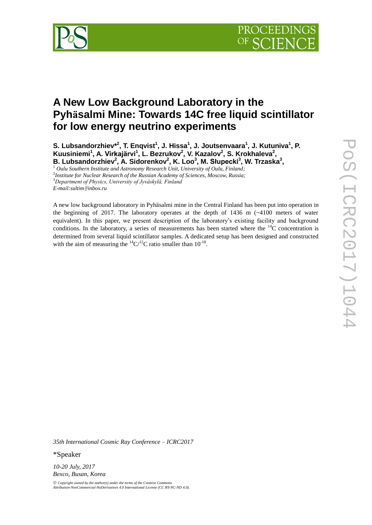

# **A New Low Background Laboratory in the Pyhäsalmi Mine: Towards 14C free liquid scintillator for low energy neutrino experiments**

**S. Lubsandorzhiev\* 2 , T. Enqvist<sup>1</sup> , J. Hissa<sup>1</sup> , J. Joutsenvaara<sup>1</sup> , J. Kutuniva<sup>1</sup> , P. Kuusiniemi<sup>1</sup> , A. Virkajärvi<sup>1</sup> , L. Bezrukov<sup>2</sup> , V. Kazalov<sup>2</sup> , S. Krokhaleva<sup>2</sup> , B. Lubsandorzhiev<sup>2</sup> , A. Sidorenkov<sup>2</sup> , K. Loo<sup>3</sup> , M. Słupecki<sup>3</sup> , W. Trzaska<sup>3</sup> ,**

<sup>1</sup> *Oulu Southern Institute and Astronomy Research Unit, University of Oulu, Finland;*

2 *Institute for Nuclear Research of the Russian Academy of Sciences, Moscow, Russia;* <sup>3</sup>*Department of Physics, University of Jyväskylä, Finland E-mail:sultim[@](mailto:tfl10@mail.ru)inbox.ru* 

A new low background laboratory in Pyhäsalmi mine in the Central Finland has been put into operation in the beginning of 2017. The laboratory operates at the depth of  $1436$  m  $\sim$  4100 meters of water equivalent). In this paper, we present description of the laboratory's existing facility and background conditions. In the laboratory, a series of measurements has been started where the  $^{14}C$  concentration is determined from several liquid scintillator samples. A dedicated setup has been designed and constructed with the aim of measuring the  ${}^{14}C/{}^{12}C$  ratio smaller than  $10^{-18}$ .

*35th International Cosmic Ray Conference – ICRC2017*

\*Speaker

*10-20 July, 2017 Bexco, Busan, Korea*

 $\odot$  Copyright owned by the author(s) under the terms of the Creative Com Attribution-NonCommercial-NoDerivatives 4.0 International License (CC BY-NC-ND 4.0).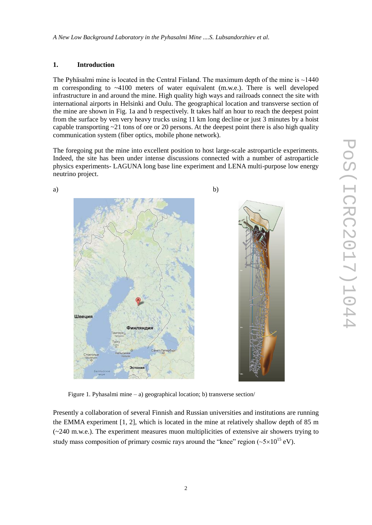## **1. Introduction**

The Pyhäsalmi mine is located in the Central Finland. The maximum depth of the mine is  $\sim$ 1440 m corresponding to  $\sim$ 4100 meters of water equivalent (m.w.e.). There is well developed infrastructure in and around the mine. High quality high ways and railroads connect the site with international airports in Helsinki and Oulu. The geographical location and transverse section of the mine are shown in Fig. 1a and b respectively. It takes half an hour to reach the deepest point from the surface by ven very heavy trucks using 11 km long decline or just 3 minutes by a hoist capable transporting  $\sim$  21 tons of ore or 20 persons. At the deepest point there is also high quality communication system (fiber optics, mobile phone network).

The foregoing put the mine into excellent position to host large-scale astroparticle experiments. Indeed, the site has been under intense discussions connected with a number of astroparticle physics experiments- LAGUNA long base line experiment and LENA multi-purpose low energy neutrino project.



Figure 1. Pyhasalmi mine – a) geographical location; b) transverse section/

Presently a collaboration of several Finnish and Russian universities and institutions are running the EMMA experiment [1, 2], which is located in the mine at relatively shallow depth of 85 m (~240 m.w.e.). The experiment measures muon multiplicities of extensive air showers trying to study mass composition of primary cosmic rays around the "knee" region  $({\sim}5{\times}10^{15} \text{ eV})$ .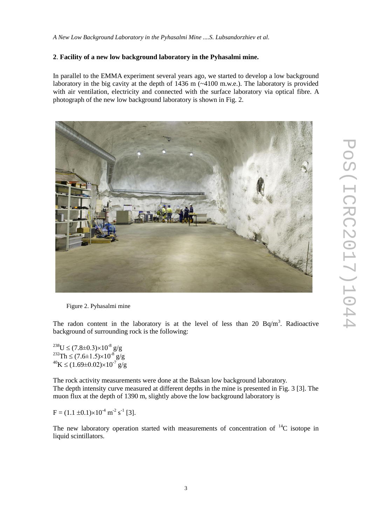#### **2**. **Facility of a new low background laboratory in the Pyhasalmi mine.**

In parallel to the EMMA experiment several years ago, we started to develop a low background laboratory in the big cavity at the depth of  $1436$  m ( $\sim$ 4100 m.w.e.). The laboratory is provided with air ventilation, electricity and connected with the surface laboratory via optical fibre. A photograph of the new low background laboratory is shown in Fig. 2.



Figure 2. Pyhasalmi mine

The radon content in the laboratory is at the level of less than 20  $Bq/m<sup>3</sup>$ . Radioactive background of surrounding rock is the following:

<sup>238</sup>U  $\leq$  (7.8±0.3) $\times$ 10<sup>-8</sup> g/g <sup>232</sup>Th  $\leq$  (7.6±1.5)×10<sup>-8</sup> g/g  $^{40}$ K  $\leq$  (1.69±0.02)×10<sup>-7</sup> g/g

The rock activity measurements were done at the Baksan low background laboratory. The depth intensity curve measured at different depths in the mine is presented in Fig. 3 [3]. The muon flux at the depth of 1390 m, slightly above the low background laboratory is

 $F = (1.1 \pm 0.1) \times 10^{-4}$  m<sup>-2</sup> s<sup>-1</sup> [3].

The new laboratory operation started with measurements of concentration of  $^{14}C$  isotope in liquid scintillators.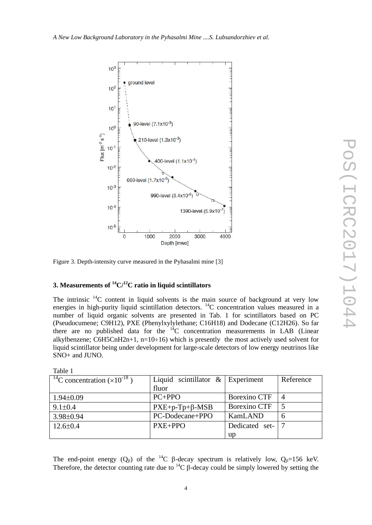

Figure 3. Depth-intensity curve measured in the Pyhasalmi mine [3]

## **3. Measurements of <sup>14</sup>C/ <sup>12</sup>C ratio in liquid scintillators**

The intrinsic  $14C$  content in liquid solvents is the main source of background at very low energies in high-purity liquid scintillation detectors. <sup>14</sup>C concentration values measured in a number of liquid organic solvents are presented in Tab. 1 for scintillators based on PC (Pseudocumene; C9H12), PXE (Phenylxylylethane; C16H18) and Dodecane (C12H26). So far there are no published data for the  $14^{\circ}$ C concentration measurements in LAB (Linear alkylbenzene; C6H5CnH2n+1, n=10÷16) which is presently the most actively used solvent for liquid scintillator being under development for large-scale detectors of low energy neutrinos like SNO+ and JUNO.

| Table 1                                           |                                     |                     |                         |
|---------------------------------------------------|-------------------------------------|---------------------|-------------------------|
| <sup>14</sup> C concentration $(\times 10^{-18})$ | Liquid scintillator $\&$ Experiment |                     | Reference               |
|                                                   | fluor                               |                     |                         |
| $1.94 \pm 0.09$                                   | $PC+PPO$                            | <b>Borexino CTF</b> | $\overline{A}$          |
| $9.1 \pm 0.4$                                     | $PXE+p-Tp+\beta-MSB$                | Borexino CTF        | $\overline{\mathbf{5}}$ |
| $3.98 \pm 0.94$                                   | PC-Dodecane+PPO                     | KamLAND             | 6                       |
| $12.6 \pm 0.4$                                    | $PXE + PPO$                         | Dedicated set-      |                         |
|                                                   |                                     | up                  |                         |

The end-point energy  $(Q_\beta)$  of the <sup>14</sup>C  $\beta$ -decay spectrum is relatively low,  $Q_\beta=156$  keV. Therefore, the detector counting rate due to  ${}^{14}C$   $\beta$ -decay could be simply lowered by setting the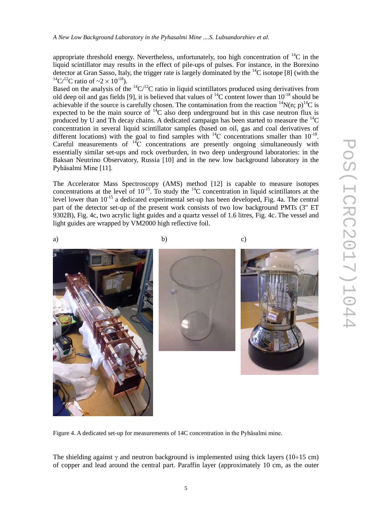appropriate threshold energy. Nevertheless, unfortunately, too high concentration of  ${}^{14}C$  in the liquid scintillator may results in the effect of pile-ups of pulses. For instance, in the Borexino detector at Gran Sasso, Italy, the trigger rate is largely dominated by the  $^{14}$ C isotope [8] (with the <sup>14</sup>C/<sup>12</sup>C ratio of  $\approx 2 \times 10^{-18}$ ).

Based on the analysis of the  ${}^{14}C/{}^{12}C$  ratio in liquid scintillators produced using derivatives from old deep oil and gas fields [9], it is believed that values of  $^{14}$ C content lower than 10<sup>-18</sup> should be achievable if the source is carefully chosen. The contamination from the reaction  ${}^{14}N(n; p) {}^{14}C$  is expected to be the main source of  ${}^{14}C$  also deep underground but in this case neutron flux is produced by U and Th decay chains. A dedicated campaign has been started to measure the  ${}^{14}C$ concentration in several liquid scintillator samples (based on oil, gas and coal derivatives of different locations) with the goal to find samples with  $^{14}$ C concentrations smaller than 10<sup>-18</sup>. Careful measurements of  ${}^{14}C$  concentrations are presently ongoing simultaneously with essentially similar set-ups and rock overburden, in two deep underground laboratories: in the Baksan Neutrino Observatory, Russia [10] and in the new low background laboratory in the Pyhäsalmi Mine [11].

The Accelerator Mass Spectroscopy (AMS) method [12] is capable to measure isotopes concentrations at the level of  $10^{-15}$ . To study the  $^{14}$ C concentration in liquid scintillators at the level lower than 10<sup>-15</sup> a dedicated experimental set-up has been developed, Fig. 4a. The central part of the detector set-up of the present work consists of two low background PMTs (3" ET 9302B), Fig. 4c, two acrylic light guides and a quartz vessel of 1.6 litres, Fig. 4c. The vessel and light guides are wrapped by VM2000 high reflective foil.



a) b) c)





Figure 4. A dedicated set-up for measurements of 14C concentration in the Pyhäsalmi mine.

The shielding against  $\gamma$  and neutron background is implemented using thick layers (10÷15 cm) of copper and lead around the central part. Paraffin layer (approximately 10 cm, as the outer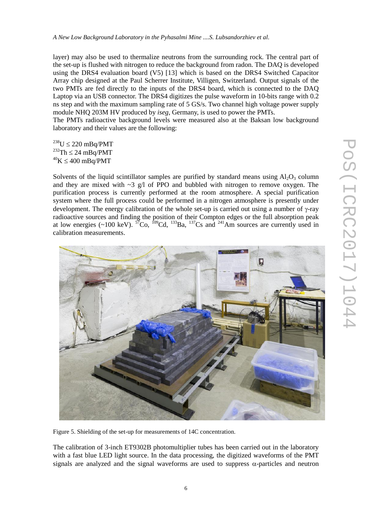layer) may also be used to thermalize neutrons from the surrounding rock. The central part of the set-up is flushed with nitrogen to reduce the background from radon. The DAQ is developed using the DRS4 evaluation board (V5) [13] which is based on the DRS4 Switched Capacitor Array chip designed at the Paul Scherrer Institute, Villigen, Switzerland. Output signals of the two PMTs are fed directly to the inputs of the DRS4 board, which is connected to the DAQ Laptop via an USB connector. The DRS4 digitizes the pulse waveform in 10-bits range with 0.2 ns step and with the maximum sampling rate of 5 GS/s. Two channel high voltage power supply module NHQ 203M HV produced by *iseg*, Germany, is used to power the PMTs.

The PMTs radioactive background levels were measured also at the Baksan low background laboratory and their values are the following:

 $^{238}U \le 220$  mBq/PMT  $232$ Th  $\leq$  24 mBq/PMT  $^{40}K \leq 400$  mBq/PMT

Solvents of the liquid scintillator samples are purified by standard means using  $A_1O_3$  column and they are mixed with  $\sim$ 3 g/l of PPO and bubbled with nitrogen to remove oxygen. The purification process is currently performed at the room atmosphere. A special purification system where the full process could be performed in a nitrogen atmosphere is presently under development. The energy calibration of the whole set-up is carried out using a number of  $\gamma$ -ray radioactive sources and finding the position of their Compton edges or the full absorption peak at low energies (~100 keV).  ${}^{57}Co$ ,  ${}^{109}Cd$ ,  ${}^{133}Ba$ ,  ${}^{137}Cs$  and  ${}^{241}Am$  sources are currently used in calibration measurements.



Figure 5. Shielding of the set-up for measurements of 14C concentration.

The calibration of 3-inch ET9302B photomultiplier tubes has been carried out in the laboratory with a fast blue LED light source. In the data processing, the digitized waveforms of the PMT signals are analyzed and the signal waveforms are used to suppress  $\alpha$ -particles and neutron